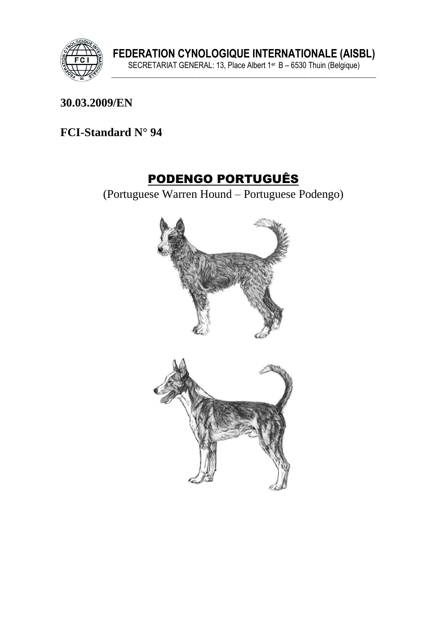

#### **30.03.2009/EN**

## **FCI-Standard N° 94**

# PODENGO PORTUGUÊS

(Portuguese Warren Hound – Portuguese Podengo)

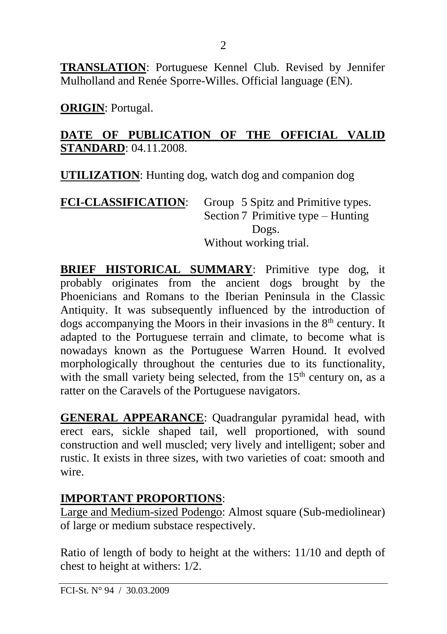**TRANSLATION**: Portuguese Kennel Club. Revised by Jennifer Mulholland and Renée Sporre-Willes. Official language (EN).

2

**ORIGIN**: Portugal.

#### **DATE OF PUBLICATION OF THE OFFICIAL VALID STANDARD**: 04.11.2008.

**UTILIZATION**: Hunting dog, watch dog and companion dog

#### **FCI-CLASSIFICATION**: Group 5 Spitz and Primitive types. Section 7 Primitive type – Hunting Dogs. Without working trial.

**BRIEF HISTORICAL SUMMARY**: Primitive type dog, it probably originates from the ancient dogs brought by the Phoenicians and Romans to the Iberian Peninsula in the Classic Antiquity. It was subsequently influenced by the introduction of dogs accompanying the Moors in their invasions in the  $8<sup>th</sup>$  century. It adapted to the Portuguese terrain and climate, to become what is nowadays known as the Portuguese Warren Hound. It evolved morphologically throughout the centuries due to its functionality, with the small variety being selected, from the  $15<sup>th</sup>$  century on, as a ratter on the Caravels of the Portuguese navigators.

**GENERAL APPEARANCE**: Quadrangular pyramidal head, with erect ears, sickle shaped tail, well proportioned, with sound construction and well muscled; very lively and intelligent; sober and rustic. It exists in three sizes, with two varieties of coat: smooth and wire.

## **IMPORTANT PROPORTIONS**:

Large and Medium-sized Podengo: Almost square (Sub-mediolinear) of large or medium substace respectively.

Ratio of length of body to height at the withers: 11/10 and depth of chest to height at withers: 1/2.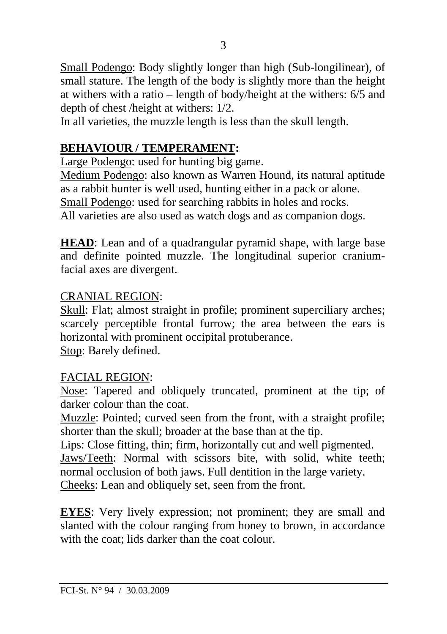Small Podengo: Body slightly longer than high (Sub-longilinear), of small stature. The length of the body is slightly more than the height at withers with a ratio – length of body/height at the withers: 6/5 and depth of chest /height at withers: 1/2.

In all varieties, the muzzle length is less than the skull length.

## **BEHAVIOUR / TEMPERAMENT:**

Large Podengo: used for hunting big game.

Medium Podengo: also known as Warren Hound, its natural aptitude as a rabbit hunter is well used, hunting either in a pack or alone. Small Podengo: used for searching rabbits in holes and rocks. All varieties are also used as watch dogs and as companion dogs.

**HEAD**: Lean and of a quadrangular pyramid shape, with large base and definite pointed muzzle. The longitudinal superior craniumfacial axes are divergent.

## CRANIAL REGION:

Skull: Flat; almost straight in profile; prominent superciliary arches; scarcely perceptible frontal furrow; the area between the ears is horizontal with prominent occipital protuberance. Stop: Barely defined.

## FACIAL REGION:

Nose: Tapered and obliquely truncated, prominent at the tip; of darker colour than the coat.

Muzzle: Pointed; curved seen from the front, with a straight profile; shorter than the skull; broader at the base than at the tip.

Lips: Close fitting, thin; firm, horizontally cut and well pigmented. Jaws/Teeth: Normal with scissors bite, with solid, white teeth; normal occlusion of both jaws. Full dentition in the large variety. Cheeks: Lean and obliquely set, seen from the front.

**EYES**: Very lively expression; not prominent; they are small and slanted with the colour ranging from honey to brown, in accordance with the coat; lids darker than the coat colour.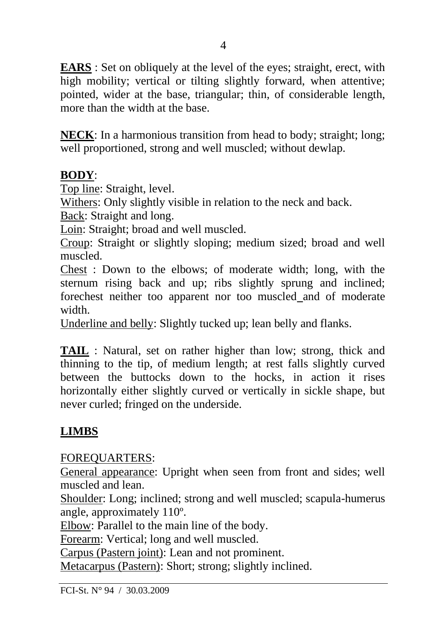**EARS** : Set on obliquely at the level of the eyes; straight, erect, with high mobility; vertical or tilting slightly forward, when attentive; pointed, wider at the base, triangular; thin, of considerable length, more than the width at the base.

**NECK**: In a harmonious transition from head to body; straight; long; well proportioned, strong and well muscled; without dewlap.

#### **BODY**:

Top line: Straight, level.

Withers: Only slightly visible in relation to the neck and back.

Back: Straight and long.

Loin: Straight; broad and well muscled.

Croup: Straight or slightly sloping; medium sized; broad and well muscled.

Chest : Down to the elbows; of moderate width; long, with the sternum rising back and up; ribs slightly sprung and inclined; forechest neither too apparent nor too muscled and of moderate width.

Underline and belly: Slightly tucked up; lean belly and flanks.

**TAIL** : Natural, set on rather higher than low; strong, thick and thinning to the tip, of medium length; at rest falls slightly curved between the buttocks down to the hocks, in action it rises horizontally either slightly curved or vertically in sickle shape, but never curled; fringed on the underside.

## **LIMBS**

#### FOREQUARTERS:

General appearance: Upright when seen from front and sides; well muscled and lean.

Shoulder: Long; inclined; strong and well muscled; scapula-humerus angle, approximately 110º.

Elbow: Parallel to the main line of the body.

Forearm: Vertical; long and well muscled.

Carpus (Pastern joint): Lean and not prominent.

Metacarpus (Pastern): Short; strong; slightly inclined.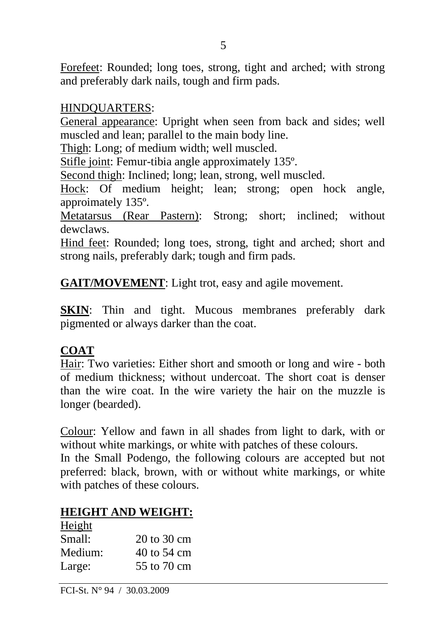Forefeet: Rounded; long toes, strong, tight and arched; with strong and preferably dark nails, tough and firm pads.

#### HINDQUARTERS:

General appearance: Upright when seen from back and sides; well muscled and lean; parallel to the main body line.

Thigh: Long; of medium width; well muscled.

Stifle joint: Femur-tibia angle approximately 135º.

Second thigh: Inclined; long; lean, strong, well muscled.

Hock: Of medium height; lean; strong; open hock angle, approimately 135º.

Metatarsus (Rear Pastern): Strong; short; inclined; without dewclaws.

Hind feet: Rounded; long toes, strong, tight and arched; short and strong nails, preferably dark; tough and firm pads.

**GAIT/MOVEMENT**: Light trot, easy and agile movement.

**SKIN:** Thin and tight. Mucous membranes preferably dark pigmented or always darker than the coat.

## **COAT**

Hair: Two varieties: Either short and smooth or long and wire - both of medium thickness; without undercoat. The short coat is denser than the wire coat. In the wire variety the hair on the muzzle is longer (bearded).

Colour: Yellow and fawn in all shades from light to dark, with or without white markings, or white with patches of these colours.

In the Small Podengo, the following colours are accepted but not preferred: black, brown, with or without white markings, or white with patches of these colours.

#### **HEIGHT AND WEIGHT:**

| Height  |                                |
|---------|--------------------------------|
| Small:  | $20 \text{ to } 30 \text{ cm}$ |
| Medium: | 40 to 54 cm                    |
| Large:  | 55 to 70 cm                    |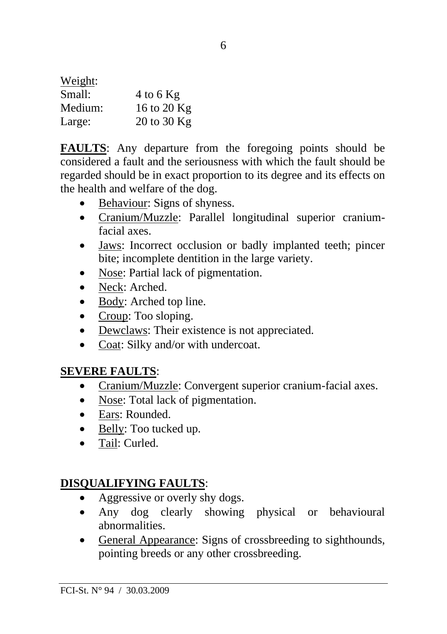| Weight: |             |
|---------|-------------|
| Small:  | 4 to 6 $Kg$ |
| Medium: | 16 to 20 Kg |
| Large:  | 20 to 30 Kg |

**FAULTS**: Any departure from the foregoing points should be considered a fault and the seriousness with which the fault should be regarded should be in exact proportion to its degree and its effects on the health and welfare of the dog.

- Behaviour: Signs of shyness.
- Cranium/Muzzle: Parallel longitudinal superior craniumfacial axes.
- Jaws: Incorrect occlusion or badly implanted teeth; pincer bite; incomplete dentition in the large variety.
- Nose: Partial lack of pigmentation.
- Neck: Arched.
- Body: Arched top line.
- Croup: Too sloping.
- Dewclaws: Their existence is not appreciated.
- Coat: Silky and/or with undercoat.

## **SEVERE FAULTS**:

- Cranium/Muzzle: Convergent superior cranium-facial axes.
- Nose: Total lack of pigmentation.
- Ears: Rounded.
- Belly: Too tucked up.
- Tail: Curled.

## **DISQUALIFYING FAULTS**:

- Aggressive or overly shy dogs.
- Any dog clearly showing physical or behavioural abnormalities.
- General Appearance: Signs of crossbreeding to sighthounds, pointing breeds or any other crossbreeding.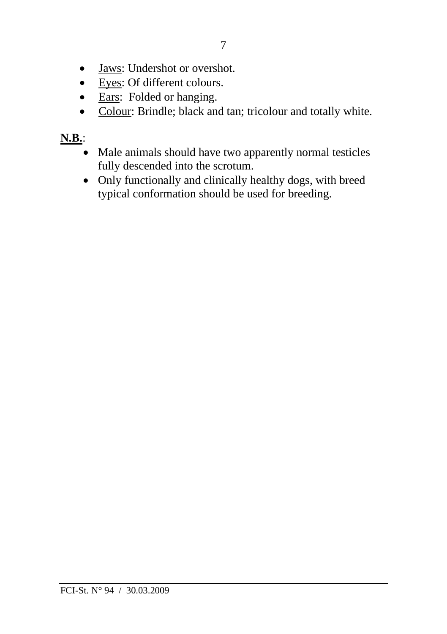- Jaws: Undershot or overshot.
- Eyes: Of different colours.
- Ears: Folded or hanging.
- Colour: Brindle; black and tan; tricolour and totally white.

## **N.B.**:

- Male animals should have two apparently normal testicles fully descended into the scrotum.
- Only functionally and clinically healthy dogs, with breed typical conformation should be used for breeding.